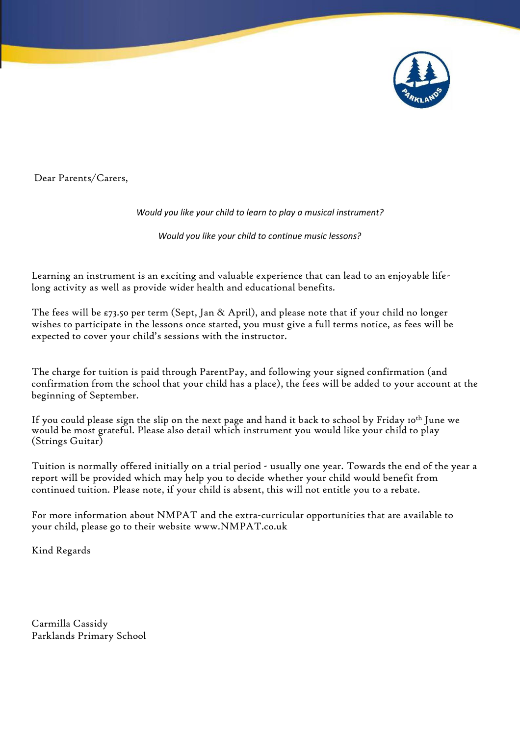

Dear Parents/Carers,

## *Would you like your child to learn to play a musical instrument?*

*Would you like your child to continue music lessons?*

Learning an instrument is an exciting and valuable experience that can lead to an enjoyable lifelong activity as well as provide wider health and educational benefits.

The fees will be  $\epsilon$ 73.50 per term (Sept, Jan & April), and please note that if your child no longer wishes to participate in the lessons once started, you must give a full terms notice, as fees will be expected to cover your child's sessions with the instructor.

The charge for tuition is paid through ParentPay, and following your signed confirmation (and confirmation from the school that your child has a place), the fees will be added to your account at the beginning of September.

If you could please sign the slip on the next page and hand it back to school by Friday 10th June we would be most grateful. Please also detail which instrument you would like your child to play (Strings Guitar)

Tuition is normally offered initially on a trial period - usually one year. Towards the end of the year a report will be provided which may help you to decide whether your child would benefit from continued tuition. Please note, if your child is absent, this will not entitle you to a rebate.

For more information about NMPAT and the extra-curricular opportunities that are available to your child, please go to their website [www.NMPAT.co.uk](http://www.nmpat.co.uk/)

Kind Regards

Carmilla Cassidy Parklands Primary School